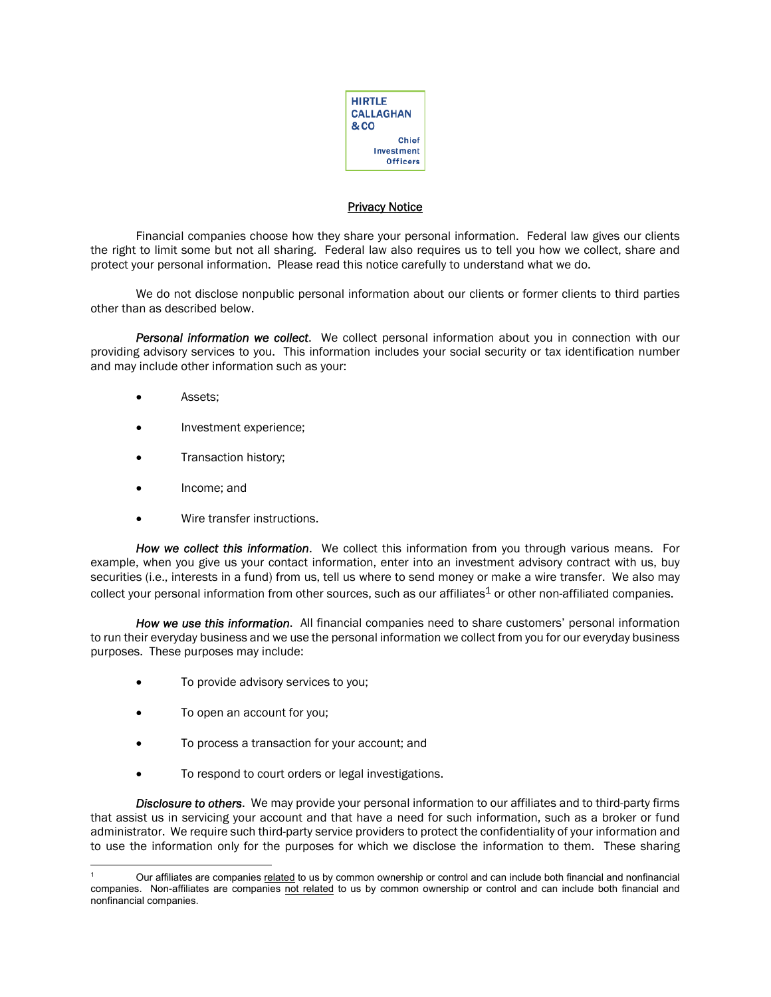

## **Privacy Notice**

Financial companies choose how they share your personal information. Federal law gives our clients the right to limit some but not all sharing. Federal law also requires us to tell you how we collect, share and protect your personal information. Please read this notice carefully to understand what we do.

We do not disclose nonpublic personal information about our clients or former clients to third parties other than as described below.

*Personal information we collect*. We collect personal information about you in connection with our providing advisory services to you. This information includes your social security or tax identification number and may include other information such as your:

- Assets;
- Investment experience;
- Transaction history;
- Income; and
- Wire transfer instructions.

*How we collect this information*. We collect this information from you through various means. For example, when you give us your contact information, enter into an investment advisory contract with us, buy securities (i.e., interests in a fund) from us, tell us where to send money or make a wire transfer. We also may collect your personal information from other sources, such as our affiliates<sup>1</sup> or other non-affiliated companies.

*How we use this information*. All financial companies need to share customers' personal information to run their everyday business and we use the personal information we collect from you for our everyday business purposes. These purposes may include:

- To provide advisory services to you;
- To open an account for you;
- To process a transaction for your account; and
- To respond to court orders or legal investigations.

*Disclosure to others*. We may provide your personal information to our affiliates and to third-party firms that assist us in servicing your account and that have a need for such information, such as a broker or fund administrator. We require such third-party service providers to protect the confidentiality of your information and to use the information only for the purposes for which we disclose the information to them. These sharing

<sup>1</sup> Our affiliates are companies related to us by common ownership or control and can include both financial and nonfinancial companies. Non-affiliates are companies not related to us by common ownership or control and can include both financial and nonfinancial companies.